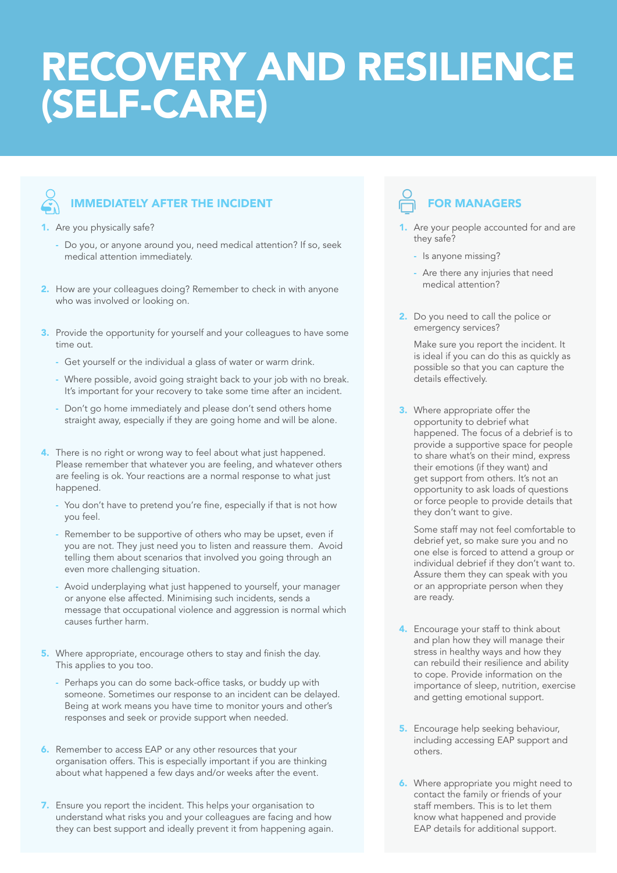## RECOVERY AND RESILIENCE (SELF-CARE)



## IMMEDIATELY AFTER THE INCIDENT

1. Are you physically safe?

- Do you, or anyone around you, need medical attention? If so, seek medical attention immediately.
- 2. How are your colleagues doing? Remember to check in with anyone who was involved or looking on.
- 3. Provide the opportunity for yourself and your colleagues to have some time out.
	- Get yourself or the individual a glass of water or warm drink.
	- Where possible, avoid going straight back to your job with no break. It's important for your recovery to take some time after an incident.
	- Don't go home immediately and please don't send others home straight away, especially if they are going home and will be alone.
- 4. There is no right or wrong way to feel about what just happened. Please remember that whatever you are feeling, and whatever others are feeling is ok. Your reactions are a normal response to what just happened.
	- You don't have to pretend you're fine, especially if that is not how you feel.
	- Remember to be supportive of others who may be upset, even if you are not. They just need you to listen and reassure them. Avoid telling them about scenarios that involved you going through an even more challenging situation.
	- Avoid underplaying what just happened to yourself, your manager or anyone else affected. Minimising such incidents, sends a message that occupational violence and aggression is normal which causes further harm.
- 5. Where appropriate, encourage others to stay and finish the day. This applies to you too.
	- Perhaps you can do some back-office tasks, or buddy up with someone. Sometimes our response to an incident can be delayed. Being at work means you have time to monitor yours and other's responses and seek or provide support when needed.
- 6. Remember to access EAP or any other resources that your organisation offers. This is especially important if you are thinking about what happened a few days and/or weeks after the event.
- 7. Ensure you report the incident. This helps your organisation to understand what risks you and your colleagues are facing and how they can best support and ideally prevent it from happening again.

## FOR MANAGERS

- 1. Are your people accounted for and are they safe?
	- Is anyone missing?
	- Are there any injuries that need medical attention?
- 2. Do you need to call the police or emergency services?

 Make sure you report the incident. It is ideal if you can do this as quickly as possible so that you can capture the details effectively.

**3.** Where appropriate offer the opportunity to debrief what happened. The focus of a debrief is to provide a supportive space for people to share what's on their mind, express their emotions (if they want) and get support from others. It's not an opportunity to ask loads of questions or force people to provide details that they don't want to give.

Some staff may not feel comfortable to debrief yet, so make sure you and no one else is forced to attend a group or individual debrief if they don't want to. Assure them they can speak with you or an appropriate person when they are ready.

- 4. Encourage your staff to think about and plan how they will manage their stress in healthy ways and how they can rebuild their resilience and ability to cope. Provide information on the importance of sleep, nutrition, exercise and getting emotional support.
- **5.** Encourage help seeking behaviour, including accessing EAP support and others.
- **6.** Where appropriate you might need to contact the family or friends of your staff members. This is to let them know what happened and provide EAP details for additional support.